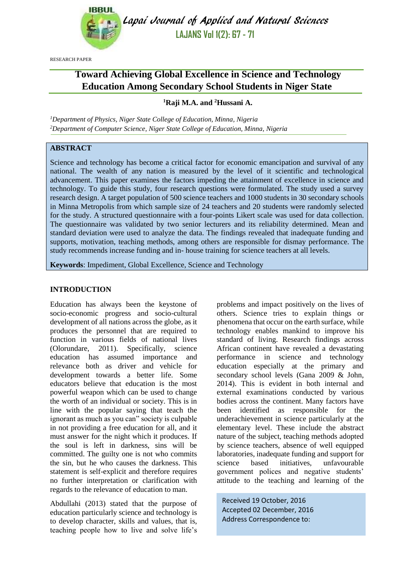

Lapai Journal of Applied and Natural Sciences **LAJANS Vol 1(2): 67 - 71**

RESEARCH PAPER

# **Toward Achieving Global Excellence in Science and Technology Education Among Secondary School Students in Niger State**

# **<sup>1</sup>Raji M.A. and <sup>2</sup>Hussani A.**

*<sup>1</sup>Department of Physics, Niger State College of Education, Minna, Nigeria <sup>2</sup>Department of Computer Science, Niger State College of Education, Minna, Nigeria*

# **ABSTRACT**

Science and technology has become a critical factor for economic emancipation and survival of any national. The wealth of any nation is measured by the level of it scientific and technological advancement. This paper examines the factors impeding the attainment of excellence in science and technology. To guide this study, four research questions were formulated. The study used a survey research design. A target population of 500 science teachers and 1000 students in 30 secondary schools in Minna Metropolis from which sample size of 24 teachers and 20 students were randomly selected for the study. A structured questionnaire with a four-points Likert scale was used for data collection. The questionnaire was validated by two senior lecturers and its reliability determined. Mean and standard deviation were used to analyze the data. The findings revealed that inadequate funding and supports, motivation, teaching methods, among others are responsible for dismay performance. The study recommends increase funding and in- house training for science teachers at all levels.

**Keywords**: Impediment, Global Excellence, Science and Technology

# **INTRODUCTION**

Education has always been the keystone of socio-economic progress and socio-cultural development of all nations across the globe, as it produces the personnel that are required to function in various fields of national lives (Olorundare, 2011). Specifically, science education has assumed importance and relevance both as driver and vehicle for development towards a better life. Some educators believe that education is the most powerful weapon which can be used to change the worth of an individual or society. This is in line with the popular saying that teach the ignorant as much as you can" society is culpable in not providing a free education for all, and it must answer for the night which it produces. If the soul is left in darkness, sins will be committed. The guilty one is not who commits the sin, but he who causes the darkness. This statement is self-explicit and therefore requires no further interpretation or clarification with regards to the relevance of education to man.

Abdullahi (2013) stated that the purpose of education particularly science and technology is to develop character, skills and values, that is, teaching people how to live and solve life's problems and impact positively on the lives of others. Science tries to explain things or phenomena that occur on the earth surface, while technology enables mankind to improve his standard of living. Research findings across African continent have revealed a devastating performance in science and technology education especially at the primary and secondary school levels (Gana 2009 & John, 2014). This is evident in both internal and external examinations conducted by various bodies across the continent. Many factors have been identified as responsible for the underachievement in science particularly at the elementary level. These include the abstract nature of the subject, teaching methods adopted by science teachers, absence of well equipped laboratories, inadequate funding and support for science based initiatives, unfavourable government polices and negative students' attitude to the teaching and learning of the

Received 19 October, 2016 Accepted 02 December, 2016 Address Correspondence to: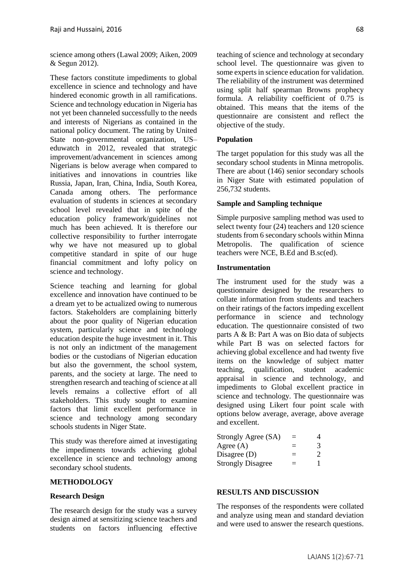science among others (Lawal 2009; Aiken, 2009 & Segun 2012).

These factors constitute impediments to global excellence in science and technology and have hindered economic growth in all ramifications. Science and technology education in Nigeria has not yet been channeled successfully to the needs and interests of Nigerians as contained in the national policy document. The rating by United State non-governmental organization, US– eduwatch in 2012, revealed that strategic improvement/advancement in sciences among Nigerians is below average when compared to initiatives and innovations in countries like Russia, Japan, Iran, China, India, South Korea, Canada among others. The performance evaluation of students in sciences at secondary school level revealed that in spite of the education policy framework/guidelines not much has been achieved. It is therefore our collective responsibility to further interrogate why we have not measured up to global competitive standard in spite of our huge financial commitment and lofty policy on science and technology.

Science teaching and learning for global excellence and innovation have continued to be a dream yet to be actualized owing to numerous factors. Stakeholders are complaining bitterly about the poor quality of Nigerian education system, particularly science and technology education despite the huge investment in it. This is not only an indictment of the management bodies or the custodians of Nigerian education but also the government, the school system, parents, and the society at large. The need to strengthen research and teaching of science at all levels remains a collective effort of all stakeholders. This study sought to examine factors that limit excellent performance in science and technology among secondary schools students in Niger State.

This study was therefore aimed at investigating the impediments towards achieving global excellence in science and technology among secondary school students.

# **METHODOLOGY**

# **Research Design**

The research design for the study was a survey design aimed at sensitizing science teachers and students on factors influencing effective teaching of science and technology at secondary school level. The questionnaire was given to some experts in science education for validation. The reliability of the instrument was determined using split half spearman Browns prophecy formula. A reliability coefficient of 0.75 is obtained. This means that the items of the questionnaire are consistent and reflect the objective of the study.

# **Population**

The target population for this study was all the secondary school students in Minna metropolis. There are about (146) senior secondary schools in Niger State with estimated population of 256,732 students.

#### **Sample and Sampling technique**

Simple purposive sampling method was used to select twenty four (24) teachers and 120 science students from 6 secondary schools within Minna Metropolis. The qualification of science teachers were NCE, B.Ed and B.sc(ed).

#### **Instrumentation**

The instrument used for the study was a questionnaire designed by the researchers to collate information from students and teachers on their ratings of the factors impeding excellent performance in science and technology education. The questionnaire consisted of two parts A & B: Part A was on Bio data of subjects while Part B was on selected factors for achieving global excellence and had twenty five items on the knowledge of subject matter teaching, qualification, student academic appraisal in science and technology, and impediments to Global excellent practice in science and technology. The questionnaire was designed using Likert four point scale with options below average, average, above average and excellent.

| Strongly Agree (SA)      | $=$ | 4 |
|--------------------------|-----|---|
| Agree $(A)$              | Ξ   | 3 |
| Disagree $(D)$           | $=$ | 2 |
| <b>Strongly Disagree</b> | $=$ |   |

# **RESULTS AND DISCUSSION**

The responses of the respondents were collated and analyze using mean and standard deviation and were used to answer the research questions.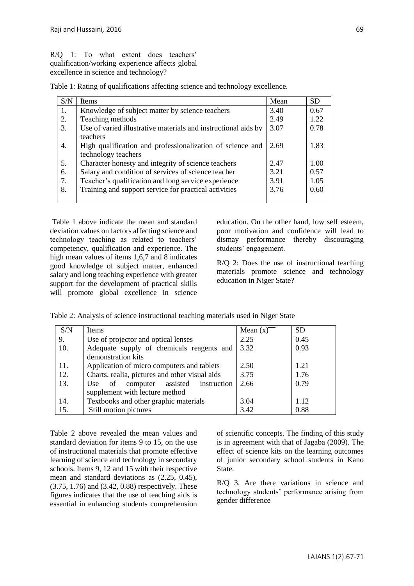R/Q 1: To what extent does teachers' qualification/working experience affects global excellence in science and technology?

|  | Table 1: Rating of qualifications affecting science and technology excellence. |
|--|--------------------------------------------------------------------------------|
|  |                                                                                |

| S/N | <b>Items</b>                                                   | Mean | <b>SD</b> |
|-----|----------------------------------------------------------------|------|-----------|
| 1.  | Knowledge of subject matter by science teachers                | 3.40 | 0.67      |
| 2.  | Teaching methods                                               | 2.49 | 1.22      |
| 3.  | Use of varied illustrative materials and instructional aids by | 3.07 | 0.78      |
|     | teachers                                                       |      |           |
| 4.  | High qualification and professionalization of science and      | 2.69 | 1.83      |
|     | technology teachers                                            |      |           |
| 5.  | Character honesty and integrity of science teachers            | 2.47 | 1.00      |
| 6.  | Salary and condition of services of science teacher            | 3.21 | 0.57      |
| 7.  | Teacher's qualification and long service experience            | 3.91 | 1.05      |
| 8.  | Training and support service for practical activities          | 3.76 | 0.60      |
|     |                                                                |      |           |

Table 1 above indicate the mean and standard deviation values on factors affecting science and technology teaching as related to teachers' competency, qualification and experience. The high mean values of items 1,6,7 and 8 indicates good knowledge of subject matter, enhanced salary and long teaching experience with greater support for the development of practical skills will promote global excellence in science education. On the other hand, low self esteem, poor motivation and confidence will lead to dismay performance thereby discouraging students' engagement.

R/Q 2: Does the use of instructional teaching materials promote science and technology education in Niger State?

| S/N | Items                                               | Mean $(x)$ | <b>SD</b> |
|-----|-----------------------------------------------------|------------|-----------|
| 9.  | Use of projector and optical lenses                 | 2.25       | 0.45      |
| 10. | Adequate supply of chemicals reagents and           | 3.32       | 0.93      |
|     | demonstration kits                                  |            |           |
| 11. | Application of micro computers and tablets          | 2.50       | 1.21      |
| 12. | Charts, realia, pictures and other visual aids      | 3.75       | 1.76      |
| 13. | assisted<br>instruction<br>computer<br>- of<br>Use. | 2.66       | 0.79      |
|     | supplement with lecture method                      |            |           |
| 14. | Textbooks and other graphic materials               | 3.04       | 1.12      |
| 15. | Still motion pictures                               | 3.42       | 0.88      |

Table 2: Analysis of science instructional teaching materials used in Niger State

Table 2 above revealed the mean values and standard deviation for items 9 to 15, on the use of instructional materials that promote effective learning of science and technology in secondary schools. Items 9, 12 and 15 with their respective mean and standard deviations as (2.25, 0.45), (3.75, 1.76) and (3.42, 0.88) respectively. These figures indicates that the use of teaching aids is essential in enhancing students comprehension of scientific concepts. The finding of this study is in agreement with that of Jagaba (2009). The effect of science kits on the learning outcomes of junior secondary school students in Kano State.

R/Q 3. Are there variations in science and technology students' performance arising from gender difference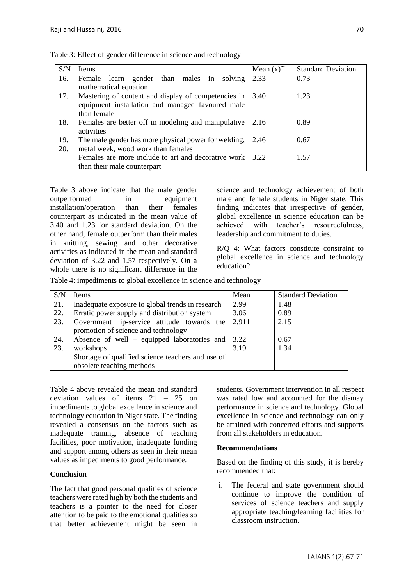| S/N | <b>Items</b>                                                | Mean $(x)$ <sup>-</sup> | <b>Standard Deviation</b> |
|-----|-------------------------------------------------------------|-------------------------|---------------------------|
| 16. | than<br>solving<br>Female<br>learn<br>gender<br>males<br>in | 2.33                    | 0.73                      |
|     | mathematical equation                                       |                         |                           |
| 17. | Mastering of content and display of competencies in         | 3.40                    | 1.23                      |
|     | equipment installation and managed favoured male            |                         |                           |
|     | than female                                                 |                         |                           |
| 18. | Females are better off in modeling and manipulative         | 2.16                    | 0.89                      |
|     | activities                                                  |                         |                           |
| 19. | The male gender has more physical power for welding,        | 2.46                    | 0.67                      |
| 20. | metal week, wood work than females                          |                         |                           |
|     | Females are more include to art and decorative work         | 322                     | 1.57                      |
|     | than their male counterpart                                 |                         |                           |

Table 3: Effect of gender difference in science and technology

Table 3 above indicate that the male gender outperformed in equipment installation/operation than their females counterpart as indicated in the mean value of 3.40 and 1.23 for standard deviation. On the other hand, female outperform than their males in knitting, sewing and other decorative activities as indicated in the mean and standard deviation of 3.22 and 1.57 respectively. On a whole there is no significant difference in the science and technology achievement of both male and female students in Niger state. This finding indicates that irrespective of gender, global excellence in science education can be achieved with teacher's resourcefulness, leadership and commitment to duties.

R/Q 4: What factors constitute constraint to global excellence in science and technology education?

Table 4: impediments to global excellence in science and technology

| S/N | Items                                                    | Mean  | <b>Standard Deviation</b> |
|-----|----------------------------------------------------------|-------|---------------------------|
| 21. | Inadequate exposure to global trends in research         | 2.99  | 1.48                      |
| 22. | Erratic power supply and distribution system             | 3.06  | 0.89                      |
| 23. | Government lip-service attitude towards the              | 2.911 | 2.15                      |
|     | promotion of science and technology                      |       |                           |
| 24. | Absence of well – equipped laboratories and $\vert$ 3.22 |       | 0.67                      |
| 23. | workshops                                                | 3.19  | 1.34                      |
|     | Shortage of qualified science teachers and use of        |       |                           |
|     | obsolete teaching methods                                |       |                           |

Table 4 above revealed the mean and standard deviation values of items 21 – 25 on impediments to global excellence in science and technology education in Niger state. The finding revealed a consensus on the factors such as inadequate training, absence of teaching facilities, poor motivation, inadequate funding and support among others as seen in their mean values as impediments to good performance.

# **Conclusion**

The fact that good personal qualities of science teachers were rated high by both the students and teachers is a pointer to the need for closer attention to be paid to the emotional qualities so that better achievement might be seen in students. Government intervention in all respect was rated low and accounted for the dismay performance in science and technology. Global excellence in science and technology can only be attained with concerted efforts and supports from all stakeholders in education.

# **Recommendations**

Based on the finding of this study, it is hereby recommended that:

i. The federal and state government should continue to improve the condition of services of science teachers and supply appropriate teaching/learning facilities for classroom instruction.